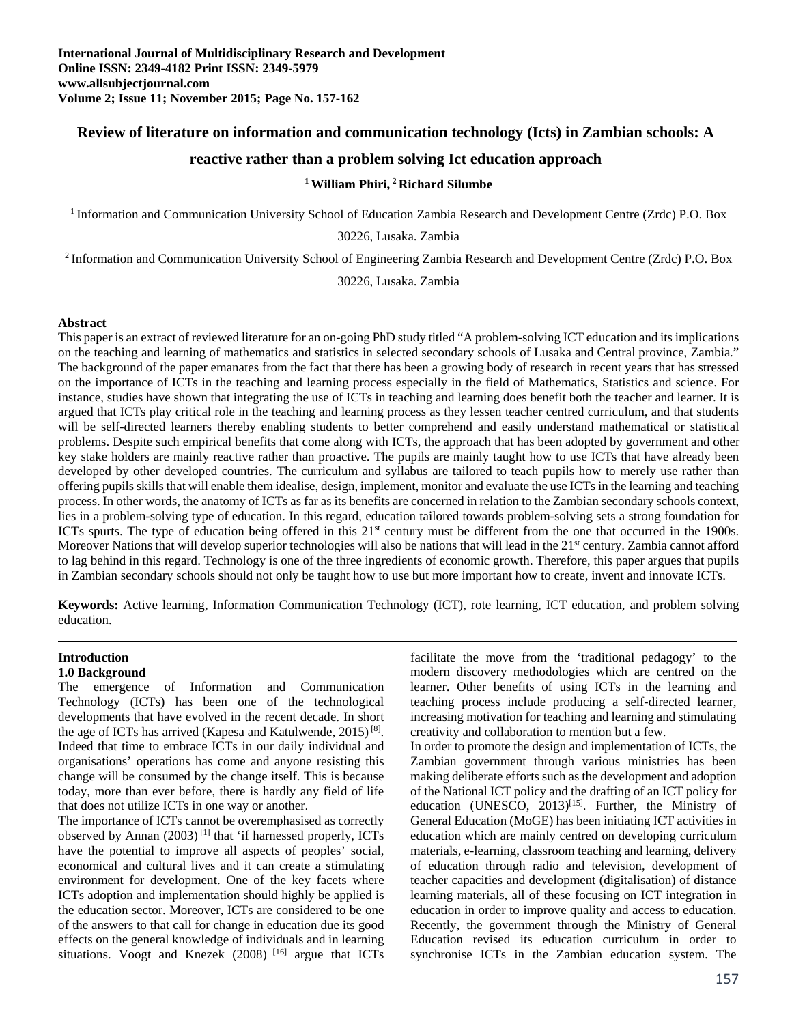## **Review of literature on information and communication technology (Icts) in Zambian schools: A**

## **reactive rather than a problem solving Ict education approach**

## **1 William Phiri, 2 Richard Silumbe**

1 Information and Communication University School of Education Zambia Research and Development Centre (Zrdc) P.O. Box

30226, Lusaka. Zambia

2 Information and Communication University School of Engineering Zambia Research and Development Centre (Zrdc) P.O. Box

30226, Lusaka. Zambia

#### **Abstract**

This paper is an extract of reviewed literature for an on-going PhD study titled "A problem-solving ICT education and its implications on the teaching and learning of mathematics and statistics in selected secondary schools of Lusaka and Central province, Zambia." The background of the paper emanates from the fact that there has been a growing body of research in recent years that has stressed on the importance of ICTs in the teaching and learning process especially in the field of Mathematics, Statistics and science. For instance, studies have shown that integrating the use of ICTs in teaching and learning does benefit both the teacher and learner. It is argued that ICTs play critical role in the teaching and learning process as they lessen teacher centred curriculum, and that students will be self-directed learners thereby enabling students to better comprehend and easily understand mathematical or statistical problems. Despite such empirical benefits that come along with ICTs, the approach that has been adopted by government and other key stake holders are mainly reactive rather than proactive. The pupils are mainly taught how to use ICTs that have already been developed by other developed countries. The curriculum and syllabus are tailored to teach pupils how to merely use rather than offering pupils skills that will enable them idealise, design, implement, monitor and evaluate the use ICTs in the learning and teaching process. In other words, the anatomy of ICTs as far as its benefits are concerned in relation to the Zambian secondary schools context, lies in a problem-solving type of education. In this regard, education tailored towards problem-solving sets a strong foundation for ICTs spurts. The type of education being offered in this 21st century must be different from the one that occurred in the 1900s. Moreover Nations that will develop superior technologies will also be nations that will lead in the 21<sup>st</sup> century. Zambia cannot afford to lag behind in this regard. Technology is one of the three ingredients of economic growth. Therefore, this paper argues that pupils in Zambian secondary schools should not only be taught how to use but more important how to create, invent and innovate ICTs.

**Keywords:** Active learning, Information Communication Technology (ICT), rote learning, ICT education, and problem solving education.

## **Introduction**

## **1.0 Background**

The emergence of Information and Communication Technology (ICTs) has been one of the technological developments that have evolved in the recent decade. In short the age of ICTs has arrived (Kapesa and Katulwende, 2015) [8]. Indeed that time to embrace ICTs in our daily individual and organisations' operations has come and anyone resisting this change will be consumed by the change itself. This is because today, more than ever before, there is hardly any field of life that does not utilize ICTs in one way or another.

The importance of ICTs cannot be overemphasised as correctly observed by Annan  $(2003)^{[1]}$  that 'if harnessed properly, ICTs have the potential to improve all aspects of peoples' social, economical and cultural lives and it can create a stimulating environment for development. One of the key facets where ICTs adoption and implementation should highly be applied is the education sector. Moreover, ICTs are considered to be one of the answers to that call for change in education due its good effects on the general knowledge of individuals and in learning situations. Voogt and Knezek (2008) [16] argue that ICTs

facilitate the move from the 'traditional pedagogy' to the modern discovery methodologies which are centred on the learner. Other benefits of using ICTs in the learning and teaching process include producing a self-directed learner, increasing motivation for teaching and learning and stimulating creativity and collaboration to mention but a few.

In order to promote the design and implementation of ICTs, the Zambian government through various ministries has been making deliberate efforts such as the development and adoption of the National ICT policy and the drafting of an ICT policy for education (UNESCO,  $2013$ <sup>[15]</sup>. Further, the Ministry of General Education (MoGE) has been initiating ICT activities in education which are mainly centred on developing curriculum materials, e-learning, classroom teaching and learning, delivery of education through radio and television, development of teacher capacities and development (digitalisation) of distance learning materials, all of these focusing on ICT integration in education in order to improve quality and access to education. Recently, the government through the Ministry of General Education revised its education curriculum in order to synchronise ICTs in the Zambian education system. The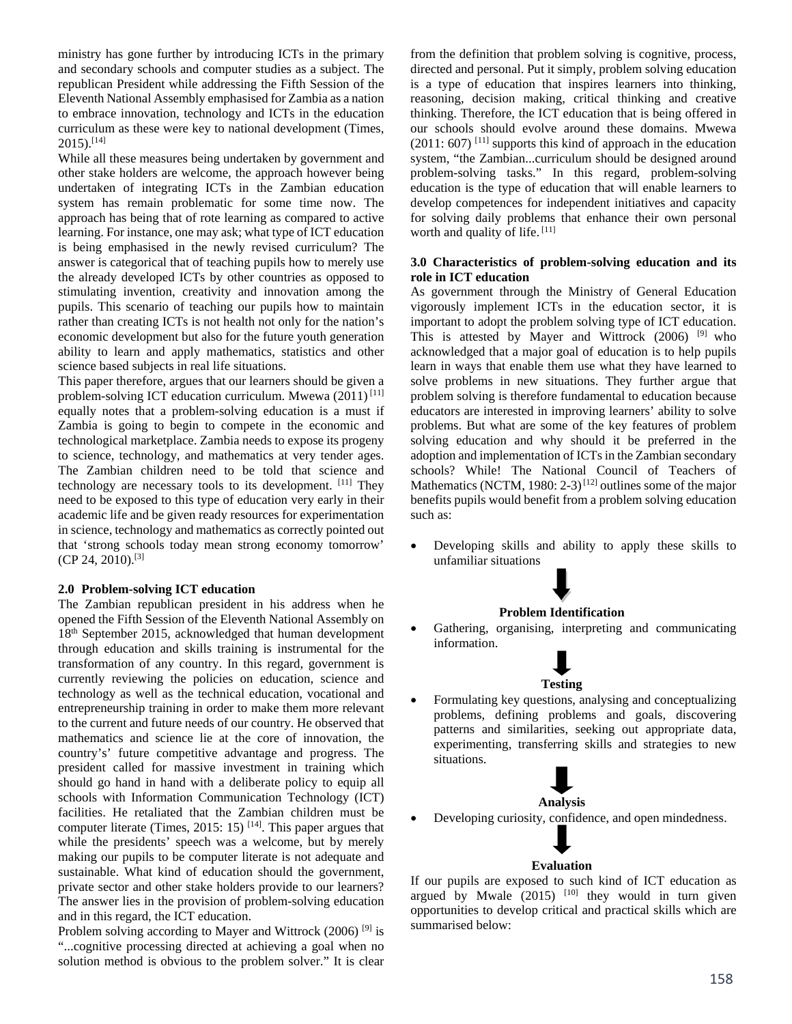ministry has gone further by introducing ICTs in the primary and secondary schools and computer studies as a subject. The republican President while addressing the Fifth Session of the Eleventh National Assembly emphasised for Zambia as a nation to embrace innovation, technology and ICTs in the education curriculum as these were key to national development (Times,  $2015$ ).<sup>[14]</sup>

While all these measures being undertaken by government and other stake holders are welcome, the approach however being undertaken of integrating ICTs in the Zambian education system has remain problematic for some time now. The approach has being that of rote learning as compared to active learning. For instance, one may ask; what type of ICT education is being emphasised in the newly revised curriculum? The answer is categorical that of teaching pupils how to merely use the already developed ICTs by other countries as opposed to stimulating invention, creativity and innovation among the pupils. This scenario of teaching our pupils how to maintain rather than creating ICTs is not health not only for the nation's economic development but also for the future youth generation ability to learn and apply mathematics, statistics and other science based subjects in real life situations.

This paper therefore, argues that our learners should be given a problem-solving ICT education curriculum. Mwewa  $(2011)^{[11]}$ equally notes that a problem-solving education is a must if Zambia is going to begin to compete in the economic and technological marketplace. Zambia needs to expose its progeny to science, technology, and mathematics at very tender ages. The Zambian children need to be told that science and technology are necessary tools to its development. [11] They need to be exposed to this type of education very early in their academic life and be given ready resources for experimentation in science, technology and mathematics as correctly pointed out that 'strong schools today mean strong economy tomorrow'  $(CP 24, 2010).$ <sup>[3]</sup>

## **2.0 Problem-solving ICT education**

The Zambian republican president in his address when he opened the Fifth Session of the Eleventh National Assembly on 18th September 2015, acknowledged that human development through education and skills training is instrumental for the transformation of any country. In this regard, government is currently reviewing the policies on education, science and technology as well as the technical education, vocational and entrepreneurship training in order to make them more relevant to the current and future needs of our country. He observed that mathematics and science lie at the core of innovation, the country's' future competitive advantage and progress. The president called for massive investment in training which should go hand in hand with a deliberate policy to equip all schools with Information Communication Technology (ICT) facilities. He retaliated that the Zambian children must be computer literate (Times, 2015: 15)  $[14]$ . This paper argues that while the presidents' speech was a welcome, but by merely making our pupils to be computer literate is not adequate and sustainable. What kind of education should the government, private sector and other stake holders provide to our learners? The answer lies in the provision of problem-solving education and in this regard, the ICT education.

Problem solving according to Mayer and Wittrock  $(2006)$ <sup>[9]</sup> is "...cognitive processing directed at achieving a goal when no solution method is obvious to the problem solver." It is clear

from the definition that problem solving is cognitive, process, directed and personal. Put it simply, problem solving education is a type of education that inspires learners into thinking, reasoning, decision making, critical thinking and creative thinking. Therefore, the ICT education that is being offered in our schools should evolve around these domains. Mwewa  $(2011: 607)$ <sup>[11]</sup> supports this kind of approach in the education system, "the Zambian...curriculum should be designed around problem-solving tasks." In this regard, problem-solving education is the type of education that will enable learners to develop competences for independent initiatives and capacity for solving daily problems that enhance their own personal worth and quality of life. [11]

## **3.0 Characteristics of problem-solving education and its role in ICT education**

As government through the Ministry of General Education vigorously implement ICTs in the education sector, it is important to adopt the problem solving type of ICT education. This is attested by Mayer and Wittrock (2006) [9] who acknowledged that a major goal of education is to help pupils learn in ways that enable them use what they have learned to solve problems in new situations. They further argue that problem solving is therefore fundamental to education because educators are interested in improving learners' ability to solve problems. But what are some of the key features of problem solving education and why should it be preferred in the adoption and implementation of ICTs in the Zambian secondary schools? While! The National Council of Teachers of Mathematics (NCTM, 1980: 2-3)<sup>[12]</sup> outlines some of the major benefits pupils would benefit from a problem solving education such as:

 Developing skills and ability to apply these skills to unfamiliar situations

## **Problem Identification**

 Gathering, organising, interpreting and communicating information.

# **Testing**

 Formulating key questions, analysing and conceptualizing problems, defining problems and goals, discovering patterns and similarities, seeking out appropriate data, experimenting, transferring skills and strategies to new situations.

# **Analysis**

Developing curiosity, confidence, and open mindedness.

## **Evaluation**

If our pupils are exposed to such kind of ICT education as argued by Mwale  $(2015)$   $[10]$  they would in turn given opportunities to develop critical and practical skills which are summarised below: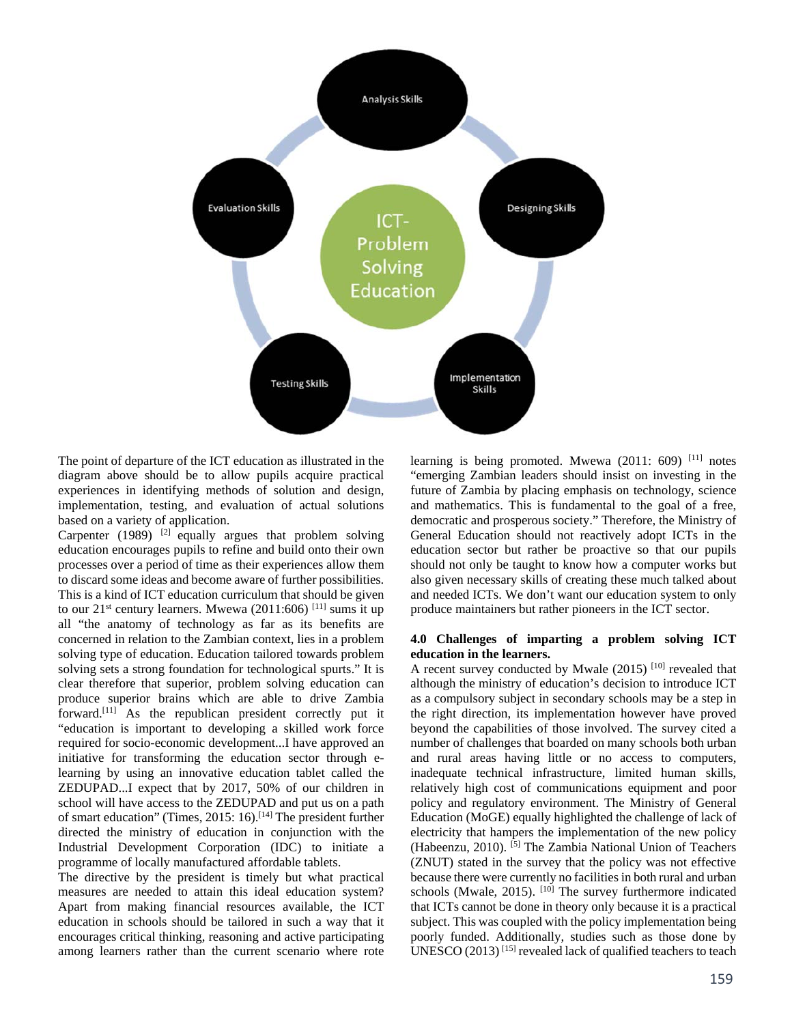

The point of departure of the ICT education as illustrated in the diagram above should be to allow pupils acquire practical experiences in identifying methods of solution and design, implementation, testing, and evaluation of actual solutions based on a variety of application.

Carpenter (1989) <sup>[2]</sup> equally argues that problem solving education encourages pupils to refine and build onto their own processes over a period of time as their experiences allow them to discard some ideas and become aware of further possibilities. This is a kind of ICT education curriculum that should be given to our  $21^{st}$  century learners. Mwewa (2011:606) [11] sums it up all "the anatomy of technology as far as its benefits are concerned in relation to the Zambian context, lies in a problem solving type of education. Education tailored towards problem solving sets a strong foundation for technological spurts." It is clear therefore that superior, problem solving education can produce superior brains which are able to drive Zambia forward.<sup>[11]</sup> As the republican president correctly put it "education is important to developing a skilled work force required for socio-economic development...I have approved an initiative for transforming the education sector through elearning by using an innovative education tablet called the ZEDUPAD...I expect that by 2017, 50% of our children in school will have access to the ZEDUPAD and put us on a path of smart education" (Times, 2015: 16).[14] The president further directed the ministry of education in conjunction with the Industrial Development Corporation (IDC) to initiate a programme of locally manufactured affordable tablets.

The directive by the president is timely but what practical measures are needed to attain this ideal education system? Apart from making financial resources available, the ICT education in schools should be tailored in such a way that it encourages critical thinking, reasoning and active participating among learners rather than the current scenario where rote

learning is being promoted. Mwewa  $(2011: 609)$ <sup>[11]</sup> notes "emerging Zambian leaders should insist on investing in the future of Zambia by placing emphasis on technology, science and mathematics. This is fundamental to the goal of a free, democratic and prosperous society." Therefore, the Ministry of General Education should not reactively adopt ICTs in the education sector but rather be proactive so that our pupils should not only be taught to know how a computer works but also given necessary skills of creating these much talked about and needed ICTs. We don't want our education system to only produce maintainers but rather pioneers in the ICT sector.

## **4.0 Challenges of imparting a problem solving ICT education in the learners.**

A recent survey conducted by Mwale (2015)<sup>[10]</sup> revealed that although the ministry of education's decision to introduce ICT as a compulsory subject in secondary schools may be a step in the right direction, its implementation however have proved beyond the capabilities of those involved. The survey cited a number of challenges that boarded on many schools both urban and rural areas having little or no access to computers, inadequate technical infrastructure, limited human skills, relatively high cost of communications equipment and poor policy and regulatory environment. The Ministry of General Education (MoGE) equally highlighted the challenge of lack of electricity that hampers the implementation of the new policy (Habeenzu, 2010). [5] The Zambia National Union of Teachers (ZNUT) stated in the survey that the policy was not effective because there were currently no facilities in both rural and urban schools (Mwale, 2015). <sup>[10]</sup> The survey furthermore indicated that ICTs cannot be done in theory only because it is a practical subject. This was coupled with the policy implementation being poorly funded. Additionally, studies such as those done by UNESCO (2013) [15] revealed lack of qualified teachers to teach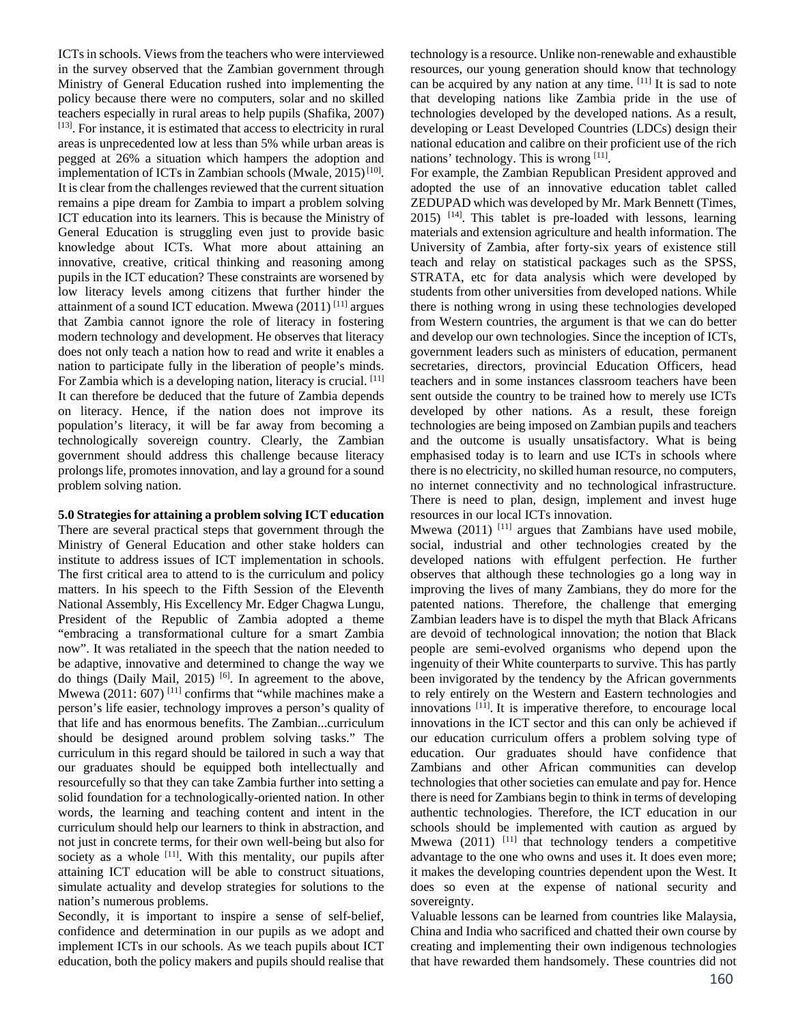ICTs in schools. Views from the teachers who were interviewed in the survey observed that the Zambian government through Ministry of General Education rushed into implementing the policy because there were no computers, solar and no skilled teachers especially in rural areas to help pupils (Shafika, 2007) [13]. For instance, it is estimated that access to electricity in rural areas is unprecedented low at less than 5% while urban areas is pegged at 26% a situation which hampers the adoption and implementation of ICTs in Zambian schools (Mwale,  $2015$ )<sup>[10]</sup>. It is clear from the challenges reviewed that the current situation remains a pipe dream for Zambia to impart a problem solving ICT education into its learners. This is because the Ministry of General Education is struggling even just to provide basic knowledge about ICTs. What more about attaining an innovative, creative, critical thinking and reasoning among pupils in the ICT education? These constraints are worsened by low literacy levels among citizens that further hinder the attainment of a sound ICT education. Mwewa (2011) [11] argues that Zambia cannot ignore the role of literacy in fostering modern technology and development. He observes that literacy does not only teach a nation how to read and write it enables a nation to participate fully in the liberation of people's minds. For Zambia which is a developing nation, literacy is crucial. [11] It can therefore be deduced that the future of Zambia depends on literacy. Hence, if the nation does not improve its population's literacy, it will be far away from becoming a technologically sovereign country. Clearly, the Zambian government should address this challenge because literacy prolongs life, promotes innovation, and lay a ground for a sound problem solving nation.

### **5.0 Strategies for attaining a problem solving ICT education**

There are several practical steps that government through the Ministry of General Education and other stake holders can institute to address issues of ICT implementation in schools. The first critical area to attend to is the curriculum and policy matters. In his speech to the Fifth Session of the Eleventh National Assembly, His Excellency Mr. Edger Chagwa Lungu, President of the Republic of Zambia adopted a theme "embracing a transformational culture for a smart Zambia now". It was retaliated in the speech that the nation needed to be adaptive, innovative and determined to change the way we do things (Daily Mail, 2015)  $[6]$ . In agreement to the above, Mwewa (2011:  $607$ )<sup>[11]</sup> confirms that "while machines make a person's life easier, technology improves a person's quality of that life and has enormous benefits. The Zambian...curriculum should be designed around problem solving tasks." The curriculum in this regard should be tailored in such a way that our graduates should be equipped both intellectually and resourcefully so that they can take Zambia further into setting a solid foundation for a technologically-oriented nation. In other words, the learning and teaching content and intent in the curriculum should help our learners to think in abstraction, and not just in concrete terms, for their own well-being but also for society as a whole  $[11]$ . With this mentality, our pupils after attaining ICT education will be able to construct situations, simulate actuality and develop strategies for solutions to the nation's numerous problems.

Secondly, it is important to inspire a sense of self-belief, confidence and determination in our pupils as we adopt and implement ICTs in our schools. As we teach pupils about ICT education, both the policy makers and pupils should realise that technology is a resource. Unlike non-renewable and exhaustible resources, our young generation should know that technology can be acquired by any nation at any time. [11] It is sad to note that developing nations like Zambia pride in the use of technologies developed by the developed nations. As a result, developing or Least Developed Countries (LDCs) design their national education and calibre on their proficient use of the rich nations' technology. This is wrong [11].

For example, the Zambian Republican President approved and adopted the use of an innovative education tablet called ZEDUPAD which was developed by Mr. Mark Bennett (Times,  $2015$ )  $^{[14]}$ . This tablet is pre-loaded with lessons, learning materials and extension agriculture and health information. The University of Zambia, after forty-six years of existence still teach and relay on statistical packages such as the SPSS, STRATA, etc for data analysis which were developed by students from other universities from developed nations. While there is nothing wrong in using these technologies developed from Western countries, the argument is that we can do better and develop our own technologies. Since the inception of ICTs, government leaders such as ministers of education, permanent secretaries, directors, provincial Education Officers, head teachers and in some instances classroom teachers have been sent outside the country to be trained how to merely use ICTs developed by other nations. As a result, these foreign technologies are being imposed on Zambian pupils and teachers and the outcome is usually unsatisfactory. What is being emphasised today is to learn and use ICTs in schools where there is no electricity, no skilled human resource, no computers, no internet connectivity and no technological infrastructure. There is need to plan, design, implement and invest huge resources in our local ICTs innovation.

Mwewa (2011)  $[11]$  argues that Zambians have used mobile, social, industrial and other technologies created by the developed nations with effulgent perfection. He further observes that although these technologies go a long way in improving the lives of many Zambians, they do more for the patented nations. Therefore, the challenge that emerging Zambian leaders have is to dispel the myth that Black Africans are devoid of technological innovation; the notion that Black people are semi-evolved organisms who depend upon the ingenuity of their White counterparts to survive. This has partly been invigorated by the tendency by the African governments to rely entirely on the Western and Eastern technologies and innovations [11]. It is imperative therefore, to encourage local innovations in the ICT sector and this can only be achieved if our education curriculum offers a problem solving type of education. Our graduates should have confidence that Zambians and other African communities can develop technologies that other societies can emulate and pay for. Hence there is need for Zambians begin to think in terms of developing authentic technologies. Therefore, the ICT education in our schools should be implemented with caution as argued by Mwewa  $(2011)$  <sup>[11]</sup> that technology tenders a competitive advantage to the one who owns and uses it. It does even more; it makes the developing countries dependent upon the West. It does so even at the expense of national security and sovereignty.

Valuable lessons can be learned from countries like Malaysia, China and India who sacrificed and chatted their own course by creating and implementing their own indigenous technologies that have rewarded them handsomely. These countries did not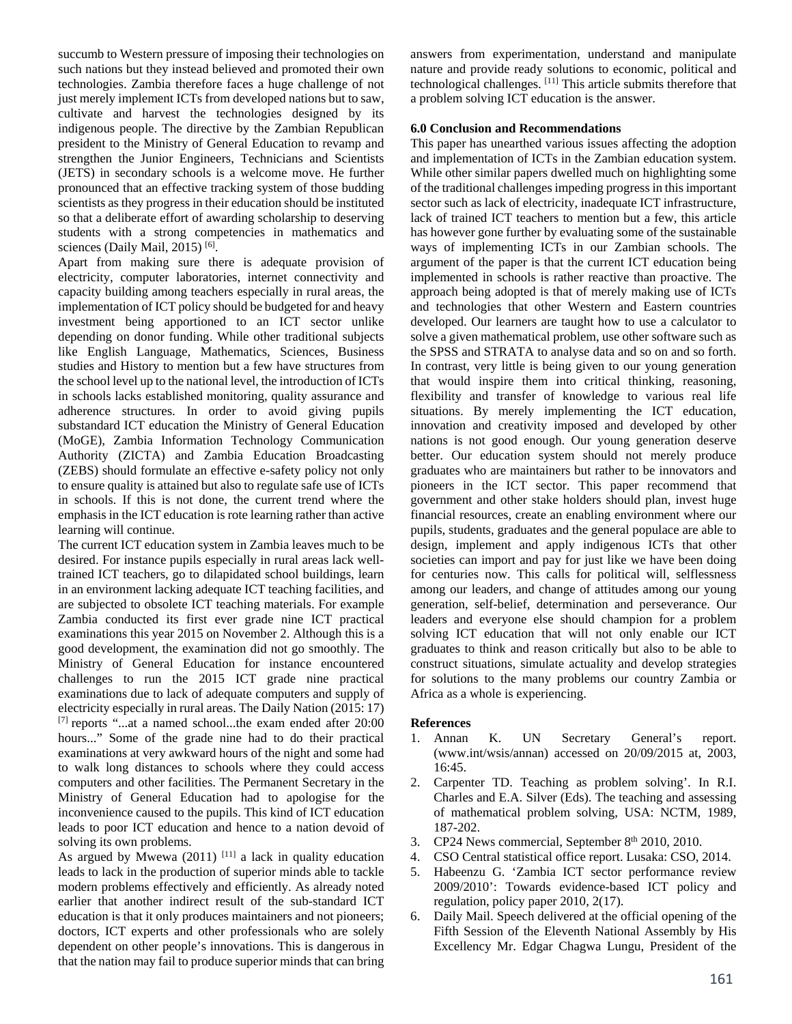succumb to Western pressure of imposing their technologies on such nations but they instead believed and promoted their own technologies. Zambia therefore faces a huge challenge of not just merely implement ICTs from developed nations but to saw, cultivate and harvest the technologies designed by its indigenous people. The directive by the Zambian Republican president to the Ministry of General Education to revamp and strengthen the Junior Engineers, Technicians and Scientists (JETS) in secondary schools is a welcome move. He further pronounced that an effective tracking system of those budding scientists as they progress in their education should be instituted so that a deliberate effort of awarding scholarship to deserving students with a strong competencies in mathematics and sciences (Daily Mail, 2015)<sup>[6]</sup>.

Apart from making sure there is adequate provision of electricity, computer laboratories, internet connectivity and capacity building among teachers especially in rural areas, the implementation of ICT policy should be budgeted for and heavy investment being apportioned to an ICT sector unlike depending on donor funding. While other traditional subjects like English Language, Mathematics, Sciences, Business studies and History to mention but a few have structures from the school level up to the national level, the introduction of ICTs in schools lacks established monitoring, quality assurance and adherence structures. In order to avoid giving pupils substandard ICT education the Ministry of General Education (MoGE), Zambia Information Technology Communication Authority (ZICTA) and Zambia Education Broadcasting (ZEBS) should formulate an effective e-safety policy not only to ensure quality is attained but also to regulate safe use of ICTs in schools. If this is not done, the current trend where the emphasis in the ICT education is rote learning rather than active learning will continue.

The current ICT education system in Zambia leaves much to be desired. For instance pupils especially in rural areas lack welltrained ICT teachers, go to dilapidated school buildings, learn in an environment lacking adequate ICT teaching facilities, and are subjected to obsolete ICT teaching materials. For example Zambia conducted its first ever grade nine ICT practical examinations this year 2015 on November 2. Although this is a good development, the examination did not go smoothly. The Ministry of General Education for instance encountered challenges to run the 2015 ICT grade nine practical examinations due to lack of adequate computers and supply of electricity especially in rural areas. The Daily Nation (2015: 17) [7] reports "...at a named school...the exam ended after 20:00 hours..." Some of the grade nine had to do their practical examinations at very awkward hours of the night and some had to walk long distances to schools where they could access computers and other facilities. The Permanent Secretary in the Ministry of General Education had to apologise for the inconvenience caused to the pupils. This kind of ICT education leads to poor ICT education and hence to a nation devoid of solving its own problems.

As argued by Mwewa  $(2011)$ <sup>[11]</sup> a lack in quality education leads to lack in the production of superior minds able to tackle modern problems effectively and efficiently. As already noted earlier that another indirect result of the sub-standard ICT education is that it only produces maintainers and not pioneers; doctors, ICT experts and other professionals who are solely dependent on other people's innovations. This is dangerous in that the nation may fail to produce superior minds that can bring answers from experimentation, understand and manipulate nature and provide ready solutions to economic, political and technological challenges. [11] This article submits therefore that a problem solving ICT education is the answer.

## **6.0 Conclusion and Recommendations**

This paper has unearthed various issues affecting the adoption and implementation of ICTs in the Zambian education system. While other similar papers dwelled much on highlighting some of the traditional challenges impeding progress in this important sector such as lack of electricity, inadequate ICT infrastructure, lack of trained ICT teachers to mention but a few, this article has however gone further by evaluating some of the sustainable ways of implementing ICTs in our Zambian schools. The argument of the paper is that the current ICT education being implemented in schools is rather reactive than proactive. The approach being adopted is that of merely making use of ICTs and technologies that other Western and Eastern countries developed. Our learners are taught how to use a calculator to solve a given mathematical problem, use other software such as the SPSS and STRATA to analyse data and so on and so forth. In contrast, very little is being given to our young generation that would inspire them into critical thinking, reasoning, flexibility and transfer of knowledge to various real life situations. By merely implementing the ICT education, innovation and creativity imposed and developed by other nations is not good enough. Our young generation deserve better. Our education system should not merely produce graduates who are maintainers but rather to be innovators and pioneers in the ICT sector. This paper recommend that government and other stake holders should plan, invest huge financial resources, create an enabling environment where our pupils, students, graduates and the general populace are able to design, implement and apply indigenous ICTs that other societies can import and pay for just like we have been doing for centuries now. This calls for political will, selflessness among our leaders, and change of attitudes among our young generation, self-belief, determination and perseverance. Our leaders and everyone else should champion for a problem solving ICT education that will not only enable our ICT graduates to think and reason critically but also to be able to construct situations, simulate actuality and develop strategies for solutions to the many problems our country Zambia or Africa as a whole is experiencing.

### **References**

- 1. Annan K. UN Secretary General's report. (www.int/wsis/annan) accessed on 20/09/2015 at, 2003, 16:45.
- 2. Carpenter TD. Teaching as problem solving'. In R.I. Charles and E.A. Silver (Eds). The teaching and assessing of mathematical problem solving, USA: NCTM, 1989, 187-202.
- 3. CP24 News commercial, September 8<sup>th</sup> 2010, 2010.
- 4. CSO Central statistical office report. Lusaka: CSO, 2014.
- 5. Habeenzu G. 'Zambia ICT sector performance review 2009/2010': Towards evidence-based ICT policy and regulation, policy paper 2010, 2(17).
- 6. Daily Mail. Speech delivered at the official opening of the Fifth Session of the Eleventh National Assembly by His Excellency Mr. Edgar Chagwa Lungu, President of the